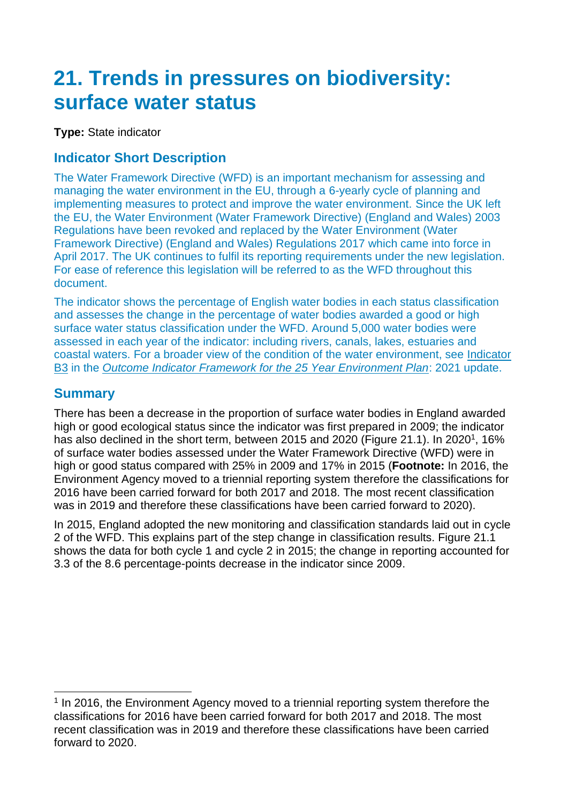# **21. Trends in pressures on biodiversity: surface water status**

**Type:** State indicator

## **Indicator Short Description**

The Water Framework Directive (WFD) is an important mechanism for assessing and managing the water environment in the EU, through a 6-yearly cycle of planning and implementing measures to protect and improve the water environment. Since the UK left the EU, the Water Environment (Water Framework Directive) (England and Wales) 2003 Regulations have been revoked and replaced by the Water Environment (Water Framework Directive) (England and Wales) Regulations 2017 which came into force in April 2017. The UK continues to fulfil its reporting requirements under the new legislation. For ease of reference this legislation will be referred to as the WFD throughout this document.

The indicator shows the percentage of English water bodies in each status classification and assesses the change in the percentage of water bodies awarded a good or high surface water status classification under the WFD. Around 5,000 water bodies were assessed in each year of the indicator: including rivers, canals, lakes, estuaries and coastal waters. For a broader view of the condition of the water environment, see [Indicator](https://assets.publishing.service.gov.uk/government/uploads/system/uploads/attachment_data/file/992970/Outcome_Indicator_Framework_for_the_25_Year_Environment_Plan_2021_Update.pdf)  [B3](https://assets.publishing.service.gov.uk/government/uploads/system/uploads/attachment_data/file/992970/Outcome_Indicator_Framework_for_the_25_Year_Environment_Plan_2021_Update.pdf) in the *[Outcome Indicator Framework for the 25 Year Environment Plan](https://www.gov.uk/government/publications/25-year-environment-plan-progress-reports)*: 2021 update.

# **Summary**

There has been a decrease in the proportion of surface water bodies in England awarded high or good ecological status since the indicator was first prepared in 2009; the indicator has also declined in the short term, between 2015 and 2020 (Figure 21.1). In 2020<sup>1</sup>, 16% of surface water bodies assessed under the Water Framework Directive (WFD) were in high or good status compared with 25% in 2009 and 17% in 2015 (**Footnote:** In 2016, the Environment Agency moved to a triennial reporting system therefore the classifications for 2016 have been carried forward for both 2017 and 2018. The most recent classification was in 2019 and therefore these classifications have been carried forward to 2020).

In 2015, England adopted the new monitoring and classification standards laid out in cycle 2 of the WFD. This explains part of the step change in classification results. Figure 21.1 shows the data for both cycle 1 and cycle 2 in 2015; the change in reporting accounted for 3.3 of the 8.6 percentage-points decrease in the indicator since 2009.

<sup>&</sup>lt;sup>1</sup> In 2016, the Environment Agency moved to a triennial reporting system therefore the classifications for 2016 have been carried forward for both 2017 and 2018. The most recent classification was in 2019 and therefore these classifications have been carried forward to 2020.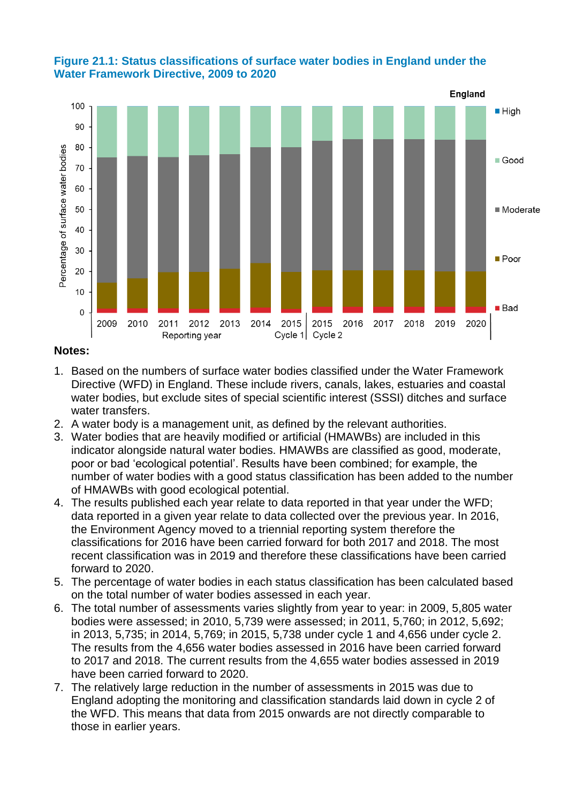



#### **Notes:**

- 1. Based on the numbers of surface water bodies classified under the Water Framework Directive (WFD) in England. These include rivers, canals, lakes, estuaries and coastal water bodies, but exclude sites of special scientific interest (SSSI) ditches and surface water transfers.
- 2. A water body is a management unit, as defined by the relevant authorities.
- 3. Water bodies that are heavily modified or artificial (HMAWBs) are included in this indicator alongside natural water bodies. HMAWBs are classified as good, moderate, poor or bad 'ecological potential'. Results have been combined; for example, the number of water bodies with a good status classification has been added to the number of HMAWBs with good ecological potential.
- 4. The results published each year relate to data reported in that year under the WFD; data reported in a given year relate to data collected over the previous year. In 2016, the Environment Agency moved to a triennial reporting system therefore the classifications for 2016 have been carried forward for both 2017 and 2018. The most recent classification was in 2019 and therefore these classifications have been carried forward to 2020.
- 5. The percentage of water bodies in each status classification has been calculated based on the total number of water bodies assessed in each year.
- 6. The total number of assessments varies slightly from year to year: in 2009, 5,805 water bodies were assessed; in 2010, 5,739 were assessed; in 2011, 5,760; in 2012, 5,692; in 2013, 5,735; in 2014, 5,769; in 2015, 5,738 under cycle 1 and 4,656 under cycle 2. The results from the 4,656 water bodies assessed in 2016 have been carried forward to 2017 and 2018. The current results from the 4,655 water bodies assessed in 2019 have been carried forward to 2020.
- 7. The relatively large reduction in the number of assessments in 2015 was due to England adopting the monitoring and classification standards laid down in cycle 2 of the WFD. This means that data from 2015 onwards are not directly comparable to those in earlier years.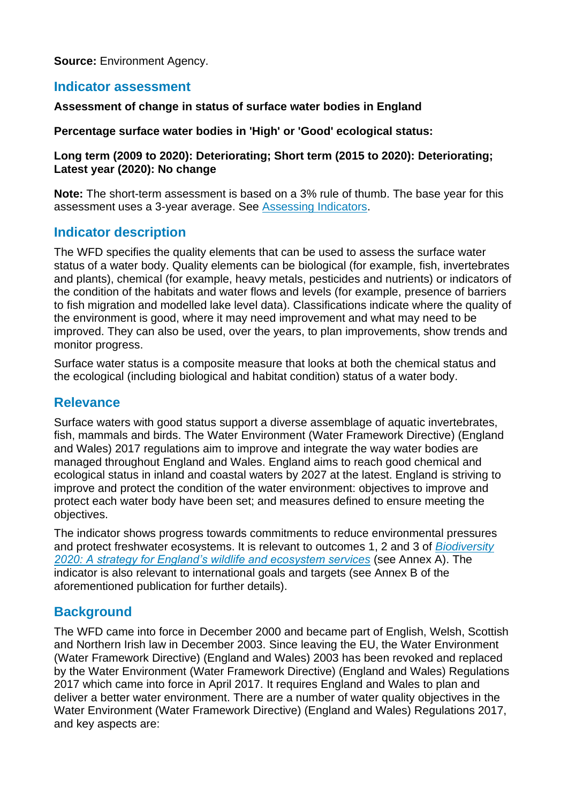**Source:** Environment Agency.

## **Indicator assessment**

#### **Assessment of change in status of surface water bodies in England**

#### **Percentage surface water bodies in 'High' or 'Good' ecological status:**

#### **Long term (2009 to 2020): Deteriorating; Short term (2015 to 2020): Deteriorating; Latest year (2020): No change**

**Note:** The short-term assessment is based on a 3% rule of thumb. The base year for this assessment uses a 3-year average. See [Assessing Indicators.](https://www.gov.uk/government/statistics/england-biodiversity-indicators)

## **Indicator description**

The WFD specifies the quality elements that can be used to assess the surface water status of a water body. Quality elements can be biological (for example, fish, invertebrates and plants), chemical (for example, heavy metals, pesticides and nutrients) or indicators of the condition of the habitats and water flows and levels (for example, presence of barriers to fish migration and modelled lake level data). Classifications indicate where the quality of the environment is good, where it may need improvement and what may need to be improved. They can also be used, over the years, to plan improvements, show trends and monitor progress.

Surface water status is a composite measure that looks at both the chemical status and the ecological (including biological and habitat condition) status of a water body.

## **Relevance**

Surface waters with good status support a diverse assemblage of aquatic invertebrates, fish, mammals and birds. The Water Environment (Water Framework Directive) (England and Wales) 2017 regulations aim to improve and integrate the way water bodies are managed throughout England and Wales. England aims to reach good chemical and ecological status in inland and coastal waters by 2027 at the latest. England is striving to improve and protect the condition of the water environment: objectives to improve and protect each water body have been set; and measures defined to ensure meeting the objectives.

The indicator shows progress towards commitments to reduce environmental pressures and protect freshwater ecosystems. It is relevant to outcomes 1, 2 and 3 of *[Biodiversity](https://www.gov.uk/government/publications/biodiversity-2020-a-strategy-for-england-s-wildlife-and-ecosystem-services)  [2020: A strategy for England's wildlife and ecosystem services](https://www.gov.uk/government/publications/biodiversity-2020-a-strategy-for-england-s-wildlife-and-ecosystem-services)* (see Annex A). The indicator is also relevant to international goals and targets (see Annex B of the aforementioned publication for further details).

## **Background**

The WFD came into force in December 2000 and became part of English, Welsh, Scottish and Northern Irish law in December 2003. Since leaving the EU, the Water Environment (Water Framework Directive) (England and Wales) 2003 has been revoked and replaced by the Water Environment (Water Framework Directive) (England and Wales) Regulations 2017 which came into force in April 2017. It requires England and Wales to plan and deliver a better water environment. There are a number of water quality objectives in the Water Environment (Water Framework Directive) (England and Wales) Regulations 2017, and key aspects are: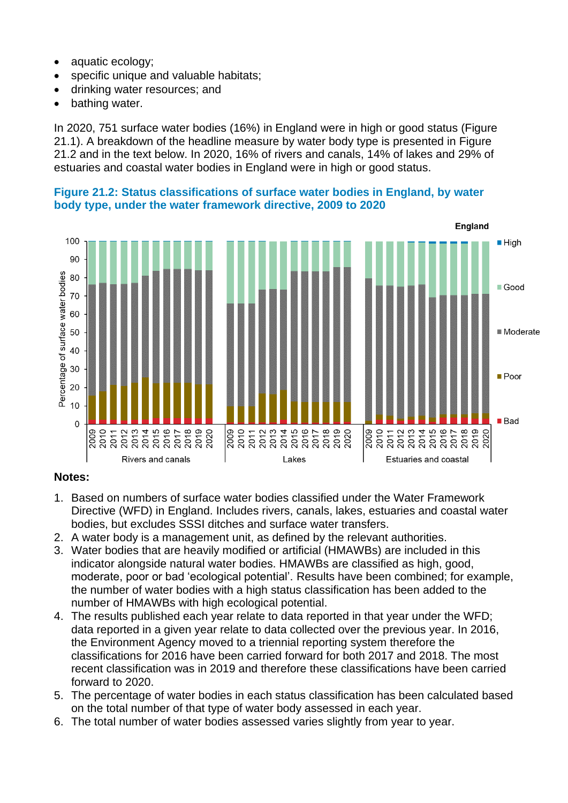- aquatic ecology;
- specific unique and valuable habitats;
- drinking water resources; and
- bathing water.

In 2020, 751 surface water bodies (16%) in England were in high or good status (Figure 21.1). A breakdown of the headline measure by water body type is presented in Figure 21.2 and in the text below. In 2020, 16% of rivers and canals, 14% of lakes and 29% of estuaries and coastal water bodies in England were in high or good status.

**Figure 21.2: Status classifications of surface water bodies in England, by water body type, under the water framework directive, 2009 to 2020**



#### **Notes:**

- 1. Based on numbers of surface water bodies classified under the Water Framework Directive (WFD) in England. Includes rivers, canals, lakes, estuaries and coastal water bodies, but excludes SSSI ditches and surface water transfers.
- 2. A water body is a management unit, as defined by the relevant authorities.
- 3. Water bodies that are heavily modified or artificial (HMAWBs) are included in this indicator alongside natural water bodies. HMAWBs are classified as high, good, moderate, poor or bad 'ecological potential'. Results have been combined; for example, the number of water bodies with a high status classification has been added to the number of HMAWBs with high ecological potential.
- 4. The results published each year relate to data reported in that year under the WFD; data reported in a given year relate to data collected over the previous year. In 2016, the Environment Agency moved to a triennial reporting system therefore the classifications for 2016 have been carried forward for both 2017 and 2018. The most recent classification was in 2019 and therefore these classifications have been carried forward to 2020.
- 5. The percentage of water bodies in each status classification has been calculated based on the total number of that type of water body assessed in each year.
- 6. The total number of water bodies assessed varies slightly from year to year.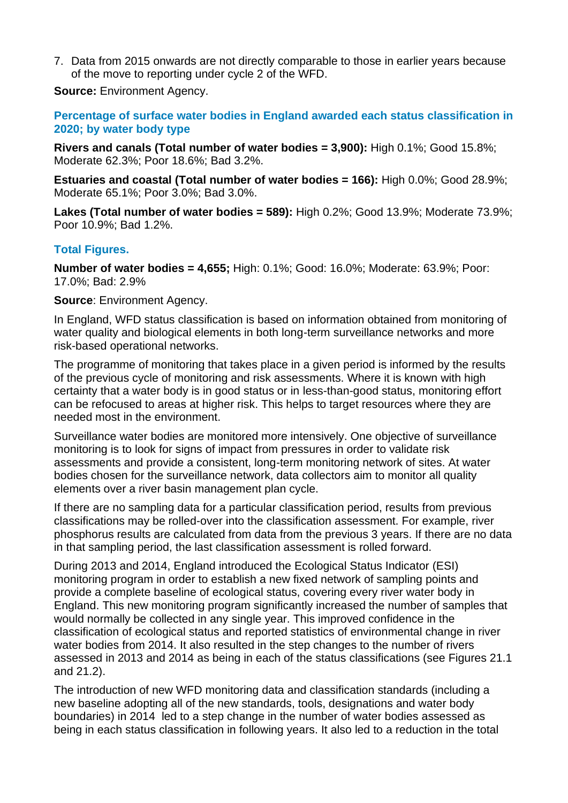7. Data from 2015 onwards are not directly comparable to those in earlier years because of the move to reporting under cycle 2 of the WFD.

**Source:** Environment Agency.

**Percentage of surface water bodies in England awarded each status classification in 2020; by water body type**

**Rivers and canals (Total number of water bodies = 3,900):** High 0.1%; Good 15.8%; Moderate 62.3%; Poor 18.6%; Bad 3.2%.

**Estuaries and coastal (Total number of water bodies = 166):** High 0.0%; Good 28.9%; Moderate 65.1%; Poor 3.0%; Bad 3.0%.

**Lakes (Total number of water bodies = 589):** High 0.2%; Good 13.9%; Moderate 73.9%; Poor 10.9%; Bad 1.2%.

#### **Total Figures.**

**Number of water bodies = 4,655;** High: 0.1%; Good: 16.0%; Moderate: 63.9%; Poor: 17.0%; Bad: 2.9%

**Source**: Environment Agency.

In England, WFD status classification is based on information obtained from monitoring of water quality and biological elements in both long-term surveillance networks and more risk-based operational networks.

The programme of monitoring that takes place in a given period is informed by the results of the previous cycle of monitoring and risk assessments. Where it is known with high certainty that a water body is in good status or in less-than-good status, monitoring effort can be refocused to areas at higher risk. This helps to target resources where they are needed most in the environment.

Surveillance water bodies are monitored more intensively. One objective of surveillance monitoring is to look for signs of impact from pressures in order to validate risk assessments and provide a consistent, long-term monitoring network of sites. At water bodies chosen for the surveillance network, data collectors aim to monitor all quality elements over a river basin management plan cycle.

If there are no sampling data for a particular classification period, results from previous classifications may be rolled-over into the classification assessment. For example, river phosphorus results are calculated from data from the previous 3 years. If there are no data in that sampling period, the last classification assessment is rolled forward.

During 2013 and 2014, England introduced the Ecological Status Indicator (ESI) monitoring program in order to establish a new fixed network of sampling points and provide a complete baseline of ecological status, covering every river water body in England. This new monitoring program significantly increased the number of samples that would normally be collected in any single year. This improved confidence in the classification of ecological status and reported statistics of environmental change in river water bodies from 2014. It also resulted in the step changes to the number of rivers assessed in 2013 and 2014 as being in each of the status classifications (see Figures 21.1 and 21.2).

The introduction of new WFD monitoring data and classification standards (including a new baseline adopting all of the new standards, tools, designations and water body boundaries) in 2014 led to a step change in the number of water bodies assessed as being in each status classification in following years. It also led to a reduction in the total